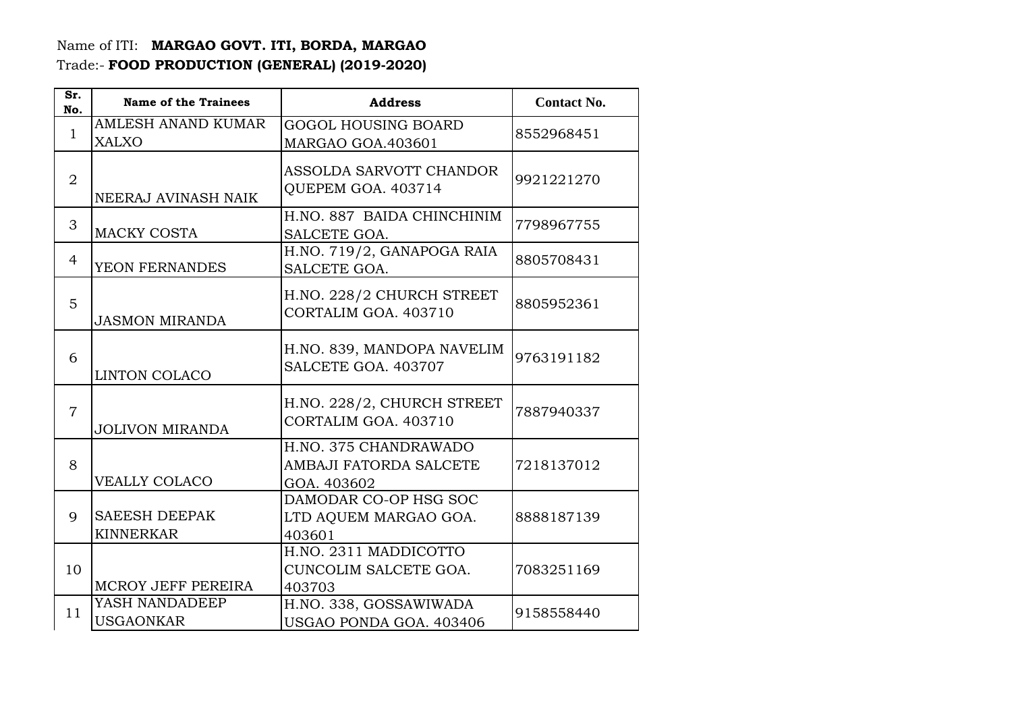## Name of ITI: **MARGAO GOVT. ITI, BORDA, MARGAO**  Trade:- **FOOD PRODUCTION (GENERAL) (2019-2020)**

| Sr.<br>No.     | <b>Name of the Trainees</b>               | <b>Address</b>                                                 | <b>Contact No.</b> |
|----------------|-------------------------------------------|----------------------------------------------------------------|--------------------|
| $\mathbf{1}$   | <b>AMLESH ANAND KUMAR</b><br><b>XALXO</b> | <b>GOGOL HOUSING BOARD</b><br>MARGAO GOA.403601                | 8552968451         |
| $\overline{2}$ | NEERAJ AVINASH NAIK                       | ASSOLDA SARVOTT CHANDOR<br>QUEPEM GOA. 403714                  | 9921221270         |
| 3              | <b>MACKY COSTA</b>                        | H.NO. 887 BAIDA CHINCHINIM<br>SALCETE GOA.                     | 7798967755         |
| $\overline{4}$ | YEON FERNANDES                            | H.NO. 719/2, GANAPOGA RAIA<br>SALCETE GOA.                     | 8805708431         |
| 5              | <b>JASMON MIRANDA</b>                     | H.NO. 228/2 CHURCH STREET<br>CORTALIM GOA, 403710              | 8805952361         |
| 6              | <b>LINTON COLACO</b>                      | H.NO. 839, MANDOPA NAVELIM<br>SALCETE GOA. 403707              | 9763191182         |
| $\overline{7}$ | <b>JOLIVON MIRANDA</b>                    | H.NO. 228/2, CHURCH STREET<br>CORTALIM GOA, 403710             | 7887940337         |
| 8              | <b>VEALLY COLACO</b>                      | H.NO. 375 CHANDRAWADO<br>AMBAJI FATORDA SALCETE<br>GOA. 403602 | 7218137012         |
| 9              | <b>SAEESH DEEPAK</b><br><b>KINNERKAR</b>  | DAMODAR CO-OP HSG SOC<br>LTD AQUEM MARGAO GOA.<br>403601       | 8888187139         |
| 10             | MCROY JEFF PEREIRA                        | H.NO. 2311 MADDICOTTO<br>CUNCOLIM SALCETE GOA.<br>403703       | 7083251169         |
| 11             | YASH NANDADEEP<br><b>USGAONKAR</b>        | H.NO. 338, GOSSAWIWADA<br>USGAO PONDA GOA. 403406              | 9158558440         |